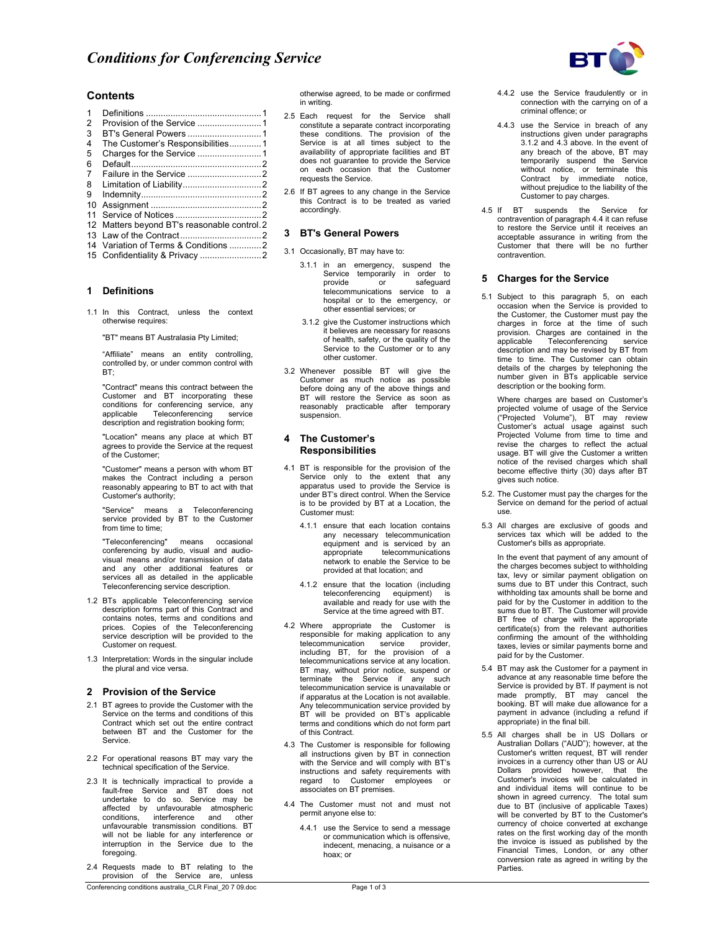

## **Contents**

| 1              |                                              |  |
|----------------|----------------------------------------------|--|
| $\overline{2}$ |                                              |  |
| 3              |                                              |  |
| 4              | The Customer's Responsibilities1             |  |
| 5              |                                              |  |
| 6              |                                              |  |
| 7              |                                              |  |
| 8              |                                              |  |
| 9              |                                              |  |
| 10             |                                              |  |
| 11             |                                              |  |
|                | 12 Matters beyond BT's reasonable control. 2 |  |
|                |                                              |  |
|                | 14 Variation of Terms & Conditions 2         |  |
|                |                                              |  |

15 Confidentiality & Privacy .........................2

#### **1 Definitions**

1.1 In this Contract, unless the context otherwise requires:

"BT" means BT Australasia Pty Limited;

"Affiliate" means an entity controlling, controlled by, or under common control with BT;

"Contract" means this contract between the Customer and BT incorporating these conditions for conferencing service, any<br>applicable Teleconferencing service Teleconferencing service description and registration booking form;

"Location" means any place at which BT agrees to provide the Service at the request of the Customer;

"Customer" means a person with whom BT makes the Contract including a person reasonably appearing to BT to act with that Customer's authority;

"Service" means a Teleconferencing service provided by BT to the Customer from time to time;

"Teleconferencing" means occasional conferencing by audio, visual and audio-visual means and/or transmission of data and any other additional features or services all as detailed in the applicable Teleconferencing service description.

- 1.2 BTs applicable Teleconferencing service description forms part of this Contract and contains notes, terms and conditions and prices. Copies of the Teleconferencing service description will be provided to the Customer on request.
- 1.3 Interpretation: Words in the singular include the plural and vice versa.

#### **2 Provision of the Service**

- 2.1 BT agrees to provide the Customer with the Service on the terms and conditions of this Contract which set out the entire contract between BT and the Customer for the Service.
- 2.2 For operational reasons BT may vary the technical specification of the Service.
- 2.3 It is technically impractical to provide a fault-free Service and BT does not undertake to do so. Service may be affected by unfavourable atmospheric conditions, interference and other unfavourable transmission conditions. BT will not be liable for any interference or interruption in the Service due to the foregoing.
- Conferencing conditions australia\_CLR Final\_20 7 09.doc Page 1 of 3 2.4 Requests made to BT relating to the provision of the Service are, unless

otherwise agreed, to be made or confirmed in writing.

- 2.5 Each request for the Service shall constitute a separate contract incorporating these conditions. The provision of the Service is at all times subject to the availability of appropriate facilities and BT does not guarantee to provide the Service on each occasion that the Customer requests the Service.
- 2.6 If BT agrees to any change in the Service this Contract is to be treated as varied accordingly.

# **3 BT's General Powers**

- 3.1 Occasionally, BT may have to:
	- 3.1.1 in an emergency, suspend the Service temporarily in order to<br>provide or safequard safeguard telecommunications service to a hospital or to the emergency, or other essential services; or
	- 3.1.2 give the Customer instructions which it believes are necessary for reasons of health, safety, or the quality of the Service to the Customer or to any other customer.
- 3.2 Whenever possible BT will give the Customer as much notice as possible before doing any of the above things and BT will restore the Service as soon as reasonably practicable after temporary suspension.

#### **4 The Customer's Responsibilities**

- 4.1 BT is responsible for the provision of the Service only to the extent that any apparatus used to provide the Service is under BT's direct control. When the Service is to be provided by BT at a Location, the Customer must:
	- 4.1.1 ensure that each location contains any necessary telecommunication equipment and is serviced by an appropriate telecommunications network to enable the Service to be provided at that location; and
	- 4.1.2 ensure that the location (including teleconferencing equipment) available and ready for use with the Service at the time agreed with BT.
- 4.2 Where appropriate the Customer is responsible for making application to any telecommunication service provider, including BT, for the provision of a telecommunications service at any location. BT may, without prior notice, suspend or terminate the Service if any such telecommunication service is unavailable or if apparatus at the Location is not available. Any telecommunication service provided by BT will be provided on BT's applicable terms and conditions which do not form part of this Contract.
- 4.3 The Customer is responsible for following all instructions given by BT in connection with the Service and will comply with BT's instructions and safety requirements with regard to Customer employees or associates on BT premises.
- 4.4 The Customer must not and must not permit anyone else to:
	- 4.4.1 use the Service to send a message or communication which is offensive, indecent, menacing, a nuisance or a hoax; or
- 4.4.2 use the Service fraudulently or in connection with the carrying on of a criminal offence; or
- 4.4.3 use the Service in breach of any instructions given under paragraphs 3.1.2 and 4.3 above. In the event of any breach of the above, BT may temporarily suspend the Service without notice, or terminate this Contract by immediate notice, without prejudice to the liability of the Customer to pay charges.
- 4.5 If BT suspends the Service contravention of paragraph 4.4 it can refuse to restore the Service until it receives an acceptable assurance in writing from the Customer that there will be no further contravention.

### **5 Charges for the Service**

- 5.1 Subject to this paragraph 5, on each occasion when the Service is provided to the Customer, the Customer must pay the charges in force at the time of such provision. Charges are contained in the<br>applicable Teleconferencing service Teleconferencing description and may be revised by BT from time to time. The Customer can obtain details of the charges by telephoning the number given in BTs applicable service description or the booking form.
	- Where charges are based on Customer's projected volume of usage of the Service ("Projected Volume"), BT may review Customer's actual usage against such Projected Volume from time to time and revise the charges to reflect the actual usage. BT will give the Customer a written notice of the revised charges which shall become effective thirty (30) days after BT gives such notice.
- 5.2. The Customer must pay the charges for the Service on demand for the period of actual use.
- 5.3 All charges are exclusive of goods and services tax which will be added to the Customer's bills as appropriate.

In the event that payment of any amount of the charges becomes subject to withholding tax, levy or similar payment obligation on sums due to BT under this Contract, such withholding tax amounts shall be borne and paid for by the Customer in addition to the sums due to BT. The Customer will provide BT free of charge with the appropriate certificate(s) from the relevant authorities confirming the amount of the withholding taxes, levies or similar payments borne and paid for by the Customer.

- 5.4 BT may ask the Customer for a payment in advance at any reasonable time before the Service is provided by BT. If payment is not made promptly, BT may cancel the booking. BT will make due allowance for a payment in advance (including a refund if appropriate) in the final bill.
- 5.5 All charges shall be in US Dollars or Australian Dollars ("AUD"); however, at the Customer's written request, BT will render invoices in a currency other than US or AU Dollars provided however, that the Customer's invoices will be calculated in and individual items will continue to be shown in agreed currency. The total sum due to BT (inclusive of applicable Taxes) will be converted by BT to the Customer's currency of choice converted at exchange rates on the first working day of the month the invoice is issued as published by the Financial Times, London, or any other conversion rate as agreed in writing by the **Parties**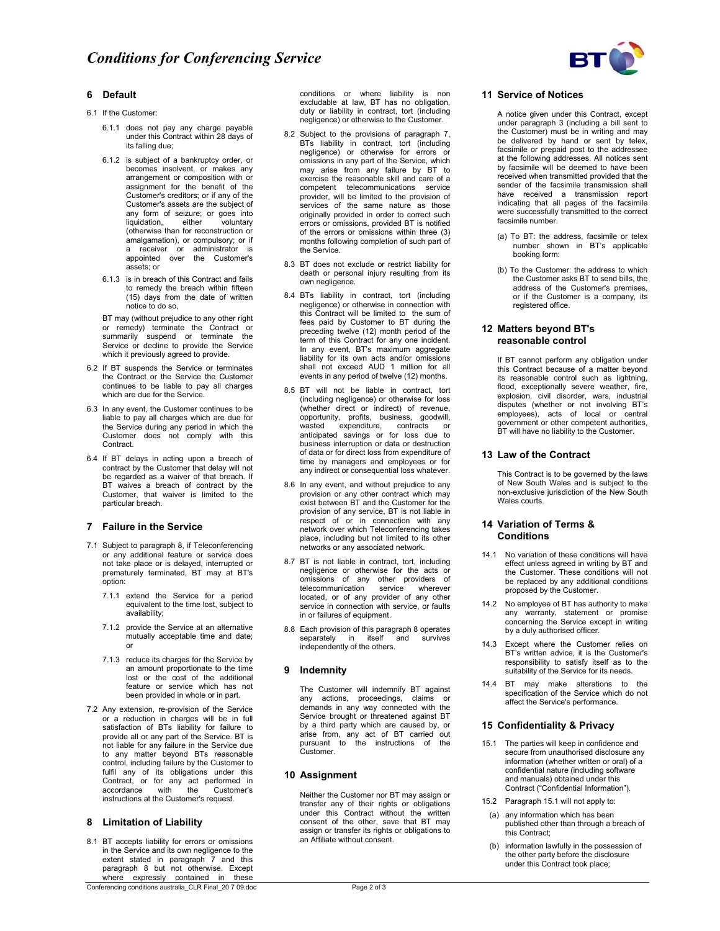

# **6 Default**

- 6.1 If the Customer:
	- 6.1.1 does not pay any charge payable under this Contract within 28 days of its falling due;
	- 6.1.2 is subject of a bankruptcy order, or becomes insolvent, or makes any arrangement or composition with or assignment for the benefit of the Customer's creditors; or if any of the Customer's assets are the subject of any form of seizure; or goes into liquidation, either voluntary (otherwise than for reconstruction or amalgamation), or compulsory; or if a receiver or administrator is appointed over the Customer's assets; or
	- 6.1.3 is in breach of this Contract and fails to remedy the breach within fifteen (15) days from the date of written notice to do so,

BT may (without prejudice to any other right or remedy) terminate the Contract or summarily suspend or terminate the Service or decline to provide the Service which it previously agreed to provide.

- 6.2 If BT suspends the Service or terminates the Contract or the Service the Customer continues to be liable to pay all charges which are due for the Service.
- 6.3 In any event, the Customer continues to be liable to pay all charges which are due for the Service during any period in which the Customer does not comply with this Contract.
- 6.4 If BT delays in acting upon a breach of contract by the Customer that delay will not be regarded as a waiver of that breach. If BT waives a breach of contract by the Customer, that waiver is limited to the particular breach.

### **7 Failure in the Service**

- 7.1 Subject to paragraph 8, if Teleconferencing or any additional feature or service does not take place or is delayed, interrupted or prematurely terminated, BT may at BT's option:
	- 7.1.1 extend the Service for a period equivalent to the time lost, subject to availability;
	- 7.1.2 provide the Service at an alternative mutually acceptable time and date; or
	- 7.1.3 reduce its charges for the Service by an amount proportionate to the time lost or the cost of the additional feature or service which has not been provided in whole or in part.
- 7.2 Any extension, re-provision of the Service or a reduction in charges will be in full satisfaction of BTs liability for failure to provide all or any part of the Service. BT is not liable for any failure in the Service due to any matter beyond BTs reasonable control, including failure by the Customer to fulfil any of its obligations under this Contract, or for any act performed in accordance with the Customer's instructions at the Customer's request.

### **8 Limitation of Liability**

8.1 BT accepts liability for errors or omissions in the Service and its own negligence to the extent stated in paragraph 7 and this paragraph 8 but not otherwise. Except where expressly contained in these

Conferencing conditions australia\_CLR Final\_20 7 09.doc Page 2 of 3

conditions or where liability is non excludable at law, BT has no obligation, duty or liability in contract, tort (including negligence) or otherwise to the Customer.

- 8.2 Subject to the provisions of paragraph 7, BTs liability in contract, tort (including negligence) or otherwise for errors or omissions in any part of the Service, which may arise from any failure by BT to exercise the reasonable skill and care of a competent telecommunications service provider, will be limited to the provision of services of the same nature as those originally provided in order to correct such errors or omissions, provided BT is notified of the errors or omissions within three (3) months following completion of such part of the Service.
- 8.3 BT does not exclude or restrict liability for death or personal injury resulting from its own negligence.
- 8.4 BTs liability in contract, tort (including negligence) or otherwise in connection with this Contract will be limited to the sum of fees paid by Customer to BT during the preceding twelve (12) month period of the term of this Contract for any one incident. In any event, BT's maximum aggregate liability for its own acts and/or omissions shall not exceed AUD 1 million for all events in any period of twelve (12) months.
- 8.5 BT will not be liable in contract, tort (including negligence) or otherwise for loss (whether direct or indirect) of revenue, opportunity, profits, business, goodwill, wasted expenditure, contracts or anticipated savings or for loss due to business interruption or data or destruction of data or for direct loss from expenditure of time by managers and employees or for any indirect or consequential loss whatever.
- 8.6 In any event, and without prejudice to any provision or any other contract which may exist between BT and the Customer for the provision of any service, BT is not liable in respect of or in connection with any network over which Teleconferencing takes place, including but not limited to its other networks or any associated network.
- 8.7 BT is not liable in contract, tort, including negligence or otherwise for the acts or omissions of any other providers of telecommunication service wherever located, or of any provider of any other service in connection with service, or faults in or failures of equipment.
- 8.8 Each provision of this paragraph 8 operates separately in itself and survives independently of the others.

## **9 Indemnity**

The Customer will indemnify BT against any actions, proceedings, claims or demands in any way connected with the Service brought or threatened against BT by a third party which are caused by, or arise from, any act of BT carried out pursuant to the instructions of the .<br>Customer.

### **10 Assignment**

Neither the Customer nor BT may assign or transfer any of their rights or obligations under this Contract without the written consent of the other, save that BT may assign or transfer its rights or obligations to an Affiliate without consent.

## **11 Service of Notices**

A notice given under this Contract, except under paragraph 3 (including a bill sent to the Customer) must be in writing and may be delivered by hand or sent by telex, facsimile or prepaid post to the addressee at the following addresses. All notices sent by facsimile will be deemed to have been received when transmitted provided that the sender of the facsimile transmission shall have received a transmission report indicating that all pages of the facsimile were successfully transmitted to the correct facsimile number.

- (a) To BT: the address, facsimile or telex number shown in BT's applicable booking form:
- (b) To the Customer: the address to which the Customer asks BT to send bills, the address of the Customer's premises, or if the Customer is a company, its registered office.

## **12 Matters beyond BT's reasonable control**

 If BT cannot perform any obligation under this Contract because of a matter beyond its reasonable control such as lightning, flood, exceptionally severe weather, fire, explosion, civil disorder, wars, industrial disputes (whether or not involving BT's employees), acts of local or central government or other competent authorities, BT will have no liability to the Customer.

## **13 Law of the Contract**

 This Contract is to be governed by the laws of New South Wales and is subject to the non-exclusive jurisdiction of the New South Wales courts.

## **14 Variation of Terms & Conditions**

- 14.1 No variation of these conditions will have effect unless agreed in writing by BT and the Customer. These conditions will not be replaced by any additional conditions proposed by the Customer.
- 14.2 No employee of BT has authority to make any warranty, statement or promise concerning the Service except in writing by a duly authorised officer.
- 14.3 Except where the Customer relies on BT's written advice, it is the Customer's responsibility to satisfy itself as to the suitability of the Service for its needs.
- 14.4 BT may make alterations to the specification of the Service which do not affect the Service's performance.

# **15 Confidentiality & Privacy**

- 15.1 The parties will keep in confidence and secure from unauthorised disclosure any information (whether written or oral) of a confidential nature (including software and manuals) obtained under this Contract ("Confidential Information").
- 15.2 Paragraph 15.1 will not apply to:
- (a) any information which has been published other than through a breach of this Contract;
- (b) information lawfully in the possession of the other party before the disclosure under this Contract took place;